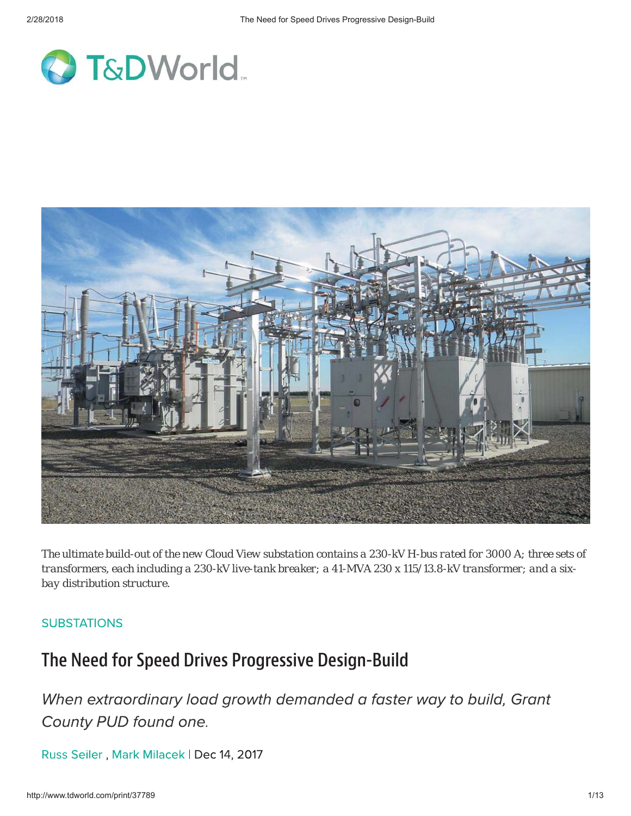



*The ultimate build-out of the new Cloud View substation contains a 230-kV H-bus rated for 3000 A; three sets of transformers, each including a 230-kV live-tank breaker; a 41-MVA 230 x 115/13.8-kV transformer; and a sixbay distribution structure.*

#### **SUBSTATIONS**

#### The Need for Speed Drives Progressive Design-Build

When extraordinary load growth demanded a faster way to build, Grant County PUD found one.

Russ Seiler, Mark Milacek | Dec 14, 2017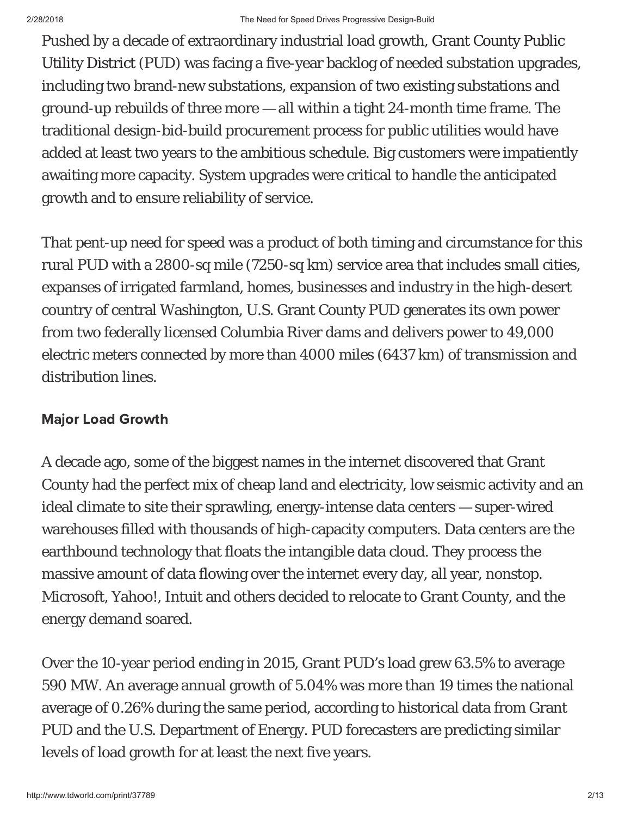Pushed by a decade of extraordinary industrial load growth, Grant County Public Utility District (PUD) was facing a five-year backlog of needed substation upgrades, including two brand-new substations, expansion of two existing substations and ground-up rebuilds of three more — all within a tight 24-month time frame. The traditional design-bid-build procurement process for public utilities would have added at least two years to the ambitious schedule. Big customers were impatiently awaiting more capacity. System upgrades were critical to handle the anticipated growth and to ensure reliability of service.

That pent-up need for speed was a product of both timing and circumstance for this rural PUD with a 2800-sq mile (7250-sq km) service area that includes small cities, expanses of irrigated farmland, homes, businesses and industry in the high-desert country of central Washington, U.S. Grant County PUD generates its own power from two federally licensed Columbia River dams and delivers power to 49,000 electric meters connected by more than 4000 miles (6437 km) of transmission and distribution lines.

### majur Ludu Uruwur

A decade ago, some of the biggest names in the internet discovered that Grant County had the perfect mix of cheap land and electricity, low seismic activity and an ideal climate to site their sprawling, energy-intense data centers — super-wired warehouses filled with thousands of high-capacity computers. Data centers are the earthbound technology that floats the intangible data cloud. They process the massive amount of data flowing over the internet every day, all year, nonstop. Microsoft, Yahoo!, Intuit and others decided to relocate to Grant County, and the energy demand soared.

Over the 10-year period ending in 2015, Grant PUD's load grew 63.5% to average 590 MW. An average annual growth of 5.04% was more than 19 times the national average of 0.26% during the same period, according to historical data from Grant PUD and the U.S. Department of Energy. PUD forecasters are predicting similar levels of load growth for at least the next five years.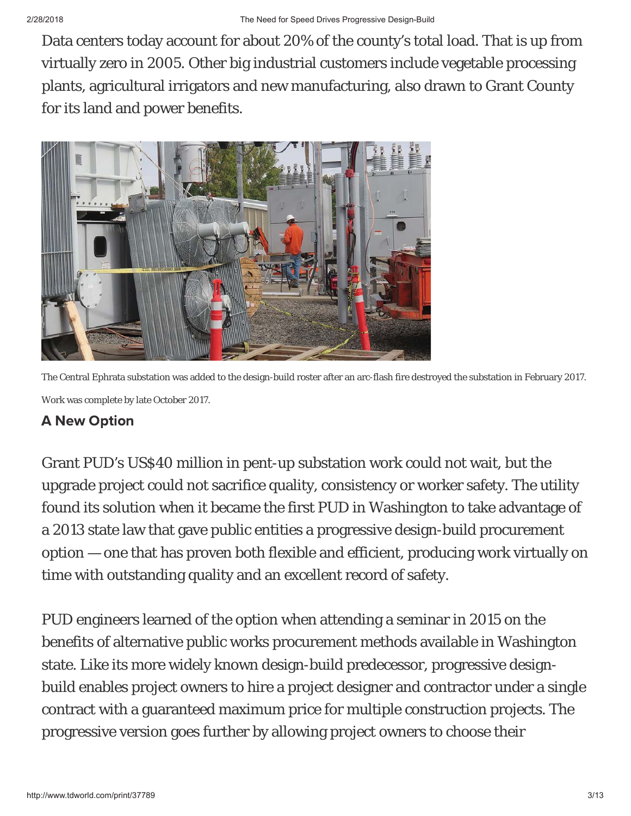Data centers today account for about 20% of the county's total load. That is up from virtually zero in 2005. Other big industrial customers include vegetable processing plants, agricultural irrigators and new manufacturing, also drawn to Grant County for its land and power benefits.



The Central Ephrata substation was added to the design-build roster after an arc-flash fire destroyed the substation in February 2017. Work was complete by late October 2017.

# A NEW OPHUT

Grant PUD's US\$40 million in pent-up substation work could not wait, but the upgrade project could not sacrifice quality, consistency or worker safety. The utility found its solution when it became the first PUD in Washington to take advantage of a 2013 state law that gave public entities a progressive design-build procurement option — one that has proven both flexible and efficient, producing work virtually on time with outstanding quality and an excellent record of safety.

PUD engineers learned of the option when attending a seminar in 2015 on the benefits of alternative public works procurement methods available in Washington state. Like its more widely known design-build predecessor, progressive designbuild enables project owners to hire a project designer and contractor under a single contract with a guaranteed maximum price for multiple construction projects. The progressive version goes further by allowing project owners to choose their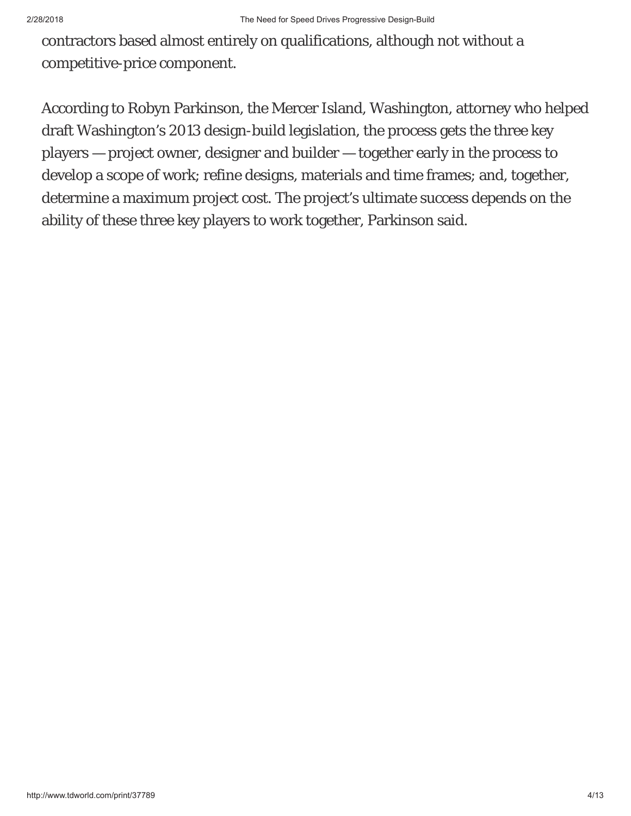contractors based almost entirely on qualifications, although not without a competitive-price component.

According to Robyn Parkinson, the Mercer Island, Washington, attorney who helped draft Washington's 2013 design-build legislation, the process gets the three key players — project owner, designer and builder — together early in the process to develop a scope of work; refine designs, materials and time frames; and, together, determine a maximum project cost. The project's ultimate success depends on the ability of these three key players to work together, Parkinson said.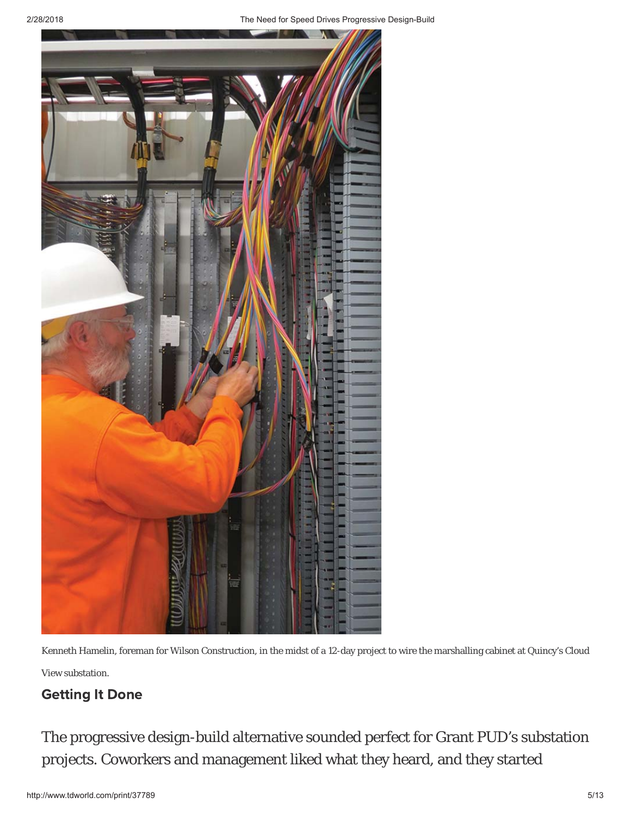

Kenneth Hamelin, foreman for Wilson Construction, in the midst of a 12-day project to wire the marshalling cabinet at Quincy's Cloud View substation.

### **Octung it Done**

The progressive design-build alternative sounded perfect for Grant PUD's substation projects. Coworkers and management liked what they heard, and they started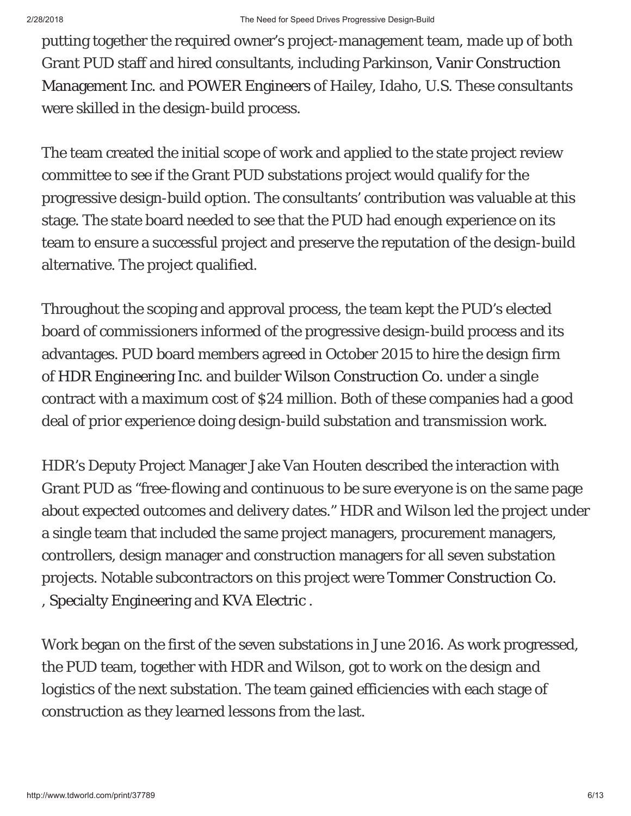putting together the required owner's project-management team, made up of both Grant PUD staff and hired consultants, including Parkinson, Vanir Construction Management Inc. and POWER Engineers of Hailey, Idaho, U.S. These consultants were skilled in the design-build process.

The team created the initial scope of work and applied to the state project review committee to see if the Grant PUD substations project would qualify for the progressive design-build option. The consultants' contribution was valuable at this stage. The state board needed to see that the PUD had enough experience on its team to ensure a successful project and preserve the reputation of the design-build alternative. The project qualified.

Throughout the scoping and approval process, the team kept the PUD's elected board of commissioners informed of the progressive design-build process and its advantages. PUD board members agreed in October 2015 to hire the design firm of HDR Engineering Inc. and builder Wilson Construction Co. under a single contract with a maximum cost of \$24 million. Both of these companies had a good deal of prior experience doing design-build substation and transmission work.

HDR's Deputy Project Manager Jake Van Houten described the interaction with Grant PUD as "free-flowing and continuous to be sure everyone is on the same page about expected outcomes and delivery dates." HDR and Wilson led the project under a single team that included the same project managers, procurement managers, controllers, design manager and construction managers for all seven substation projects. Notable subcontractors on this project were Tommer Construction Co. , Specialty Engineering and KVA Electric .

Work began on the first of the seven substations in June 2016. As work progressed, the PUD team, together with HDR and Wilson, got to work on the design and logistics of the next substation. The team gained efficiencies with each stage of construction as they learned lessons from the last.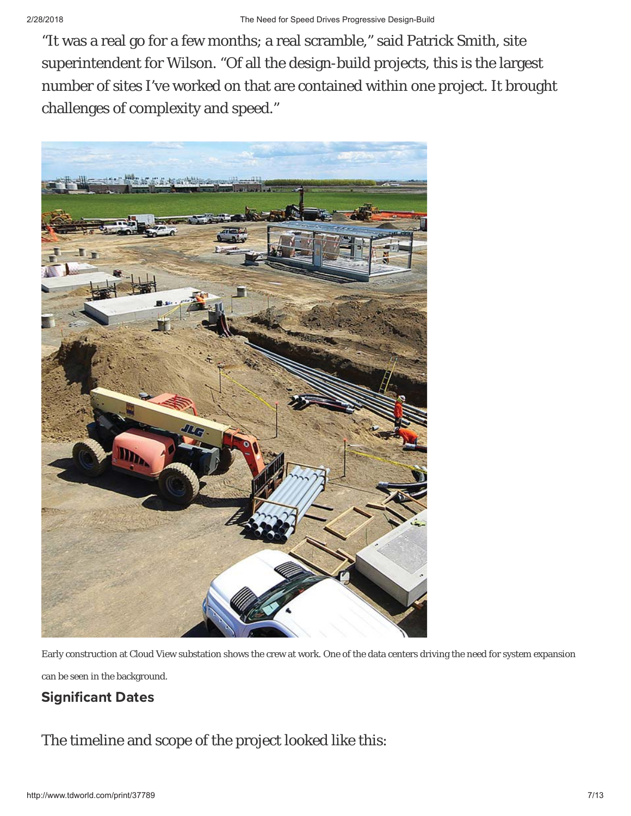"It was a real go for a few months; a real scramble," said Patrick Smith, site superintendent for Wilson. "Of all the design-build projects, this is the largest number of sites I've worked on that are contained within one project. It brought challenges of complexity and speed."



Early construction at Cloud View substation shows the crew at work. One of the data centers driving the need for system expansion can be seen in the background.

# Jigimicant Dates

The timeline and scope of the project looked like this: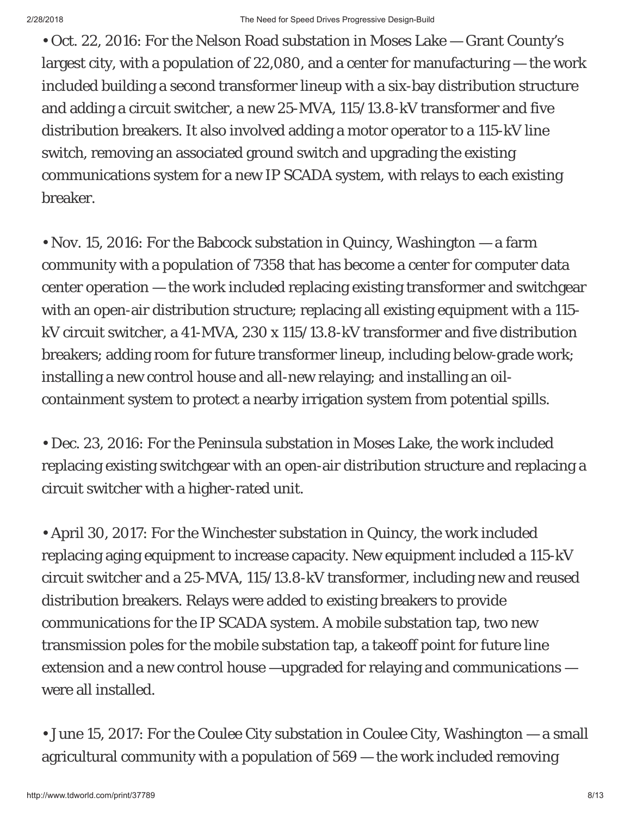• Oct. 22, 2016: For the Nelson Road substation in Moses Lake — Grant County's largest city, with a population of 22,080, and a center for manufacturing — the work included building a second transformer lineup with a six-bay distribution structure and adding a circuit switcher, a new 25-MVA, 115/13.8-kV transformer and five distribution breakers. It also involved adding a motor operator to a 115-kV line switch, removing an associated ground switch and upgrading the existing communications system for a new IP SCADA system, with relays to each existing breaker.

• Nov. 15, 2016: For the Babcock substation in Quincy, Washington — a farm community with a population of 7358 that has become a center for computer data center operation — the work included replacing existing transformer and switchgear with an open-air distribution structure; replacing all existing equipment with a 115 kV circuit switcher, a 41-MVA, 230 x 115/13.8-kV transformer and five distribution breakers; adding room for future transformer lineup, including below-grade work; installing a new control house and all-new relaying; and installing an oilcontainment system to protect a nearby irrigation system from potential spills.

• Dec. 23, 2016: For the Peninsula substation in Moses Lake, the work included replacing existing switchgear with an open-air distribution structure and replacing a circuit switcher with a higher-rated unit.

• April 30, 2017: For the Winchester substation in Quincy, the work included replacing aging equipment to increase capacity. New equipment included a 115-kV circuit switcher and a 25-MVA, 115/13.8-kV transformer, including new and reused distribution breakers. Relays were added to existing breakers to provide communications for the IP SCADA system. A mobile substation tap, two new transmission poles for the mobile substation tap, a takeoff point for future line extension and a new control house —upgraded for relaying and communications were all installed.

• June 15, 2017: For the Coulee City substation in Coulee City, Washington — a small agricultural community with a population of 569 — the work included removing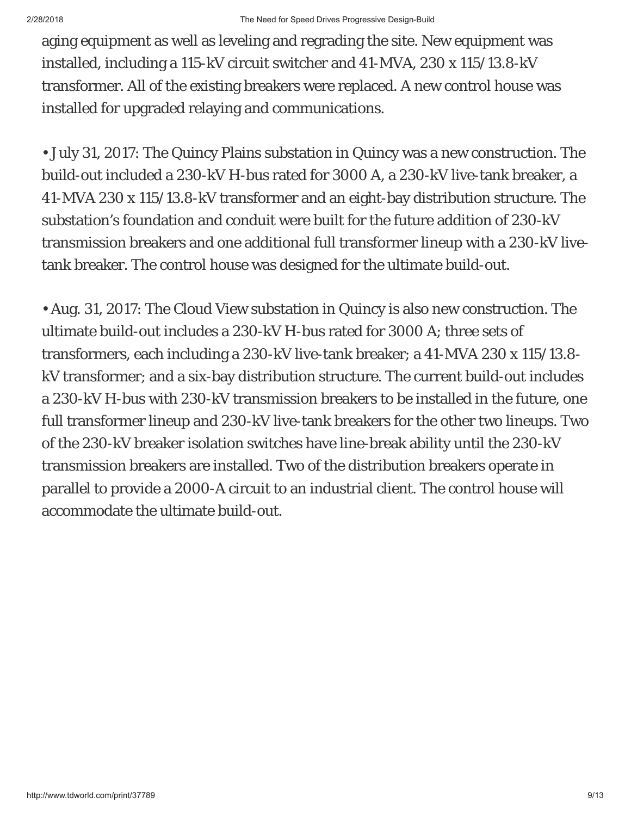aging equipment as well as leveling and regrading the site. New equipment was installed, including a 115-kV circuit switcher and 41-MVA, 230 x 115/13.8-kV transformer. All of the existing breakers were replaced. A new control house was installed for upgraded relaying and communications.

• July 31, 2017: The Quincy Plains substation in Quincy was a new construction. The build-out included a 230-kV H-bus rated for 3000 A, a 230-kV live-tank breaker, a 41-MVA 230 x 115/13.8-kV transformer and an eight-bay distribution structure. The substation's foundation and conduit were built for the future addition of 230-kV transmission breakers and one additional full transformer lineup with a 230-kV livetank breaker. The control house was designed for the ultimate build-out.

• Aug. 31, 2017: The Cloud View substation in Quincy is also new construction. The ultimate build-out includes a 230-kV H-bus rated for 3000 A; three sets of transformers, each including a 230-kV live-tank breaker; a 41-MVA 230 x 115/13.8 kV transformer; and a six-bay distribution structure. The current build-out includes a 230-kV H-bus with 230-kV transmission breakers to be installed in the future, one full transformer lineup and 230-kV live-tank breakers for the other two lineups. Two of the 230-kV breaker isolation switches have line-break ability until the 230-kV transmission breakers are installed. Two of the distribution breakers operate in parallel to provide a 2000-A circuit to an industrial client. The control house will accommodate the ultimate build-out.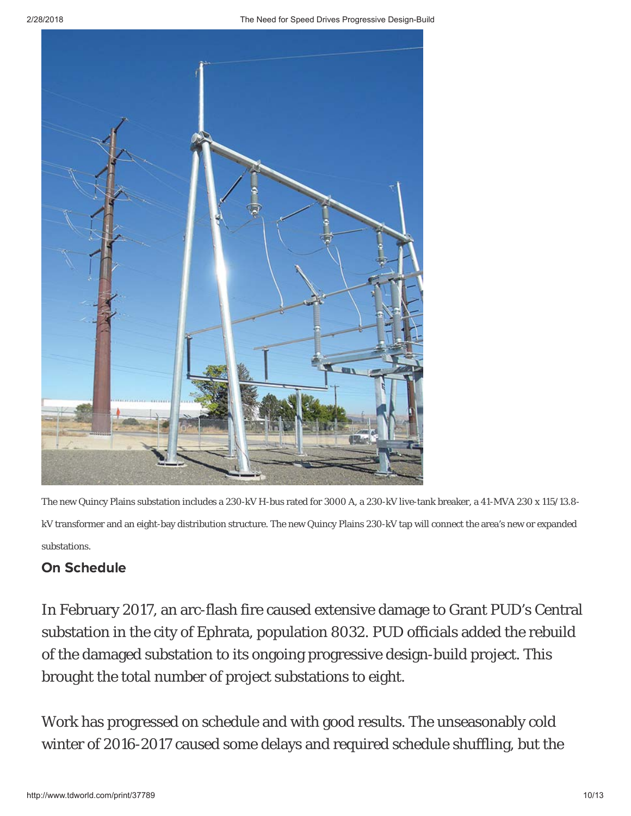

The new Quincy Plains substation includes a 230-kV H-bus rated for 3000 A, a 230-kV live-tank breaker, a 41-MVA 230 x 115/13.8 kV transformer and an eight-bay distribution structure. The new Quincy Plains 230-kV tap will connect the area's new or expanded substations.

#### **On Schedule** - $\overline{\phantom{a}}$ Ξ

In February 2017, an arc-flash fire caused extensive damage to Grant PUD's Central substation in the city of Ephrata, population 8032. PUD officials added the rebuild of the damaged substation to its ongoing progressive design-build project. This brought the total number of project substations to eight.

Work has progressed on schedule and with good results. The unseasonably cold winter of 2016-2017 caused some delays and required schedule shuffling, but the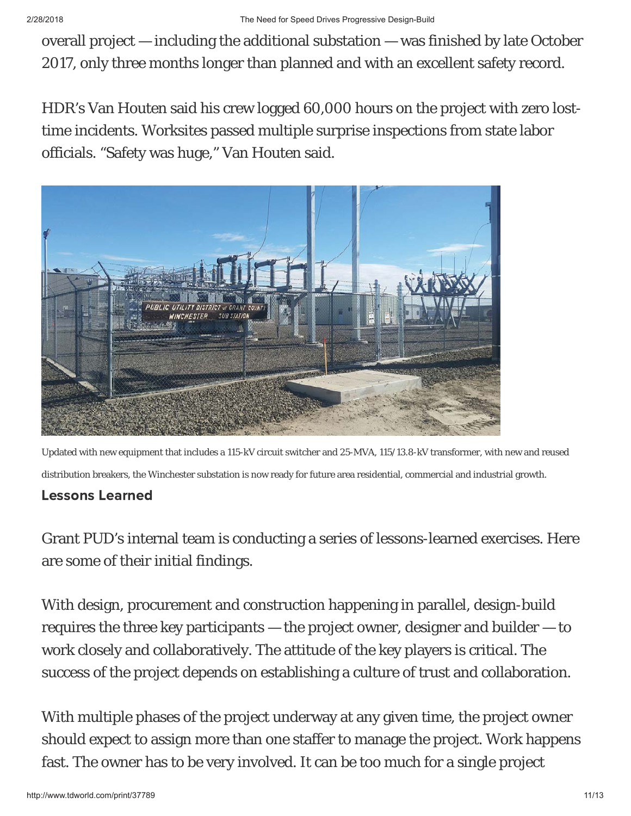overall project — including the additional substation — was finished by late October 2017, only three months longer than planned and with an excellent safety record.

HDR's Van Houten said his crew logged 60,000 hours on the project with zero losttime incidents. Worksites passed multiple surprise inspections from state labor officials. "Safety was huge," Van Houten said.



Updated with new equipment that includes a 115-kV circuit switcher and 25-MVA, 115/13.8-kV transformer, with new and reused distribution breakers, the Winchester substation is now ready for future area residential, commercial and industrial growth.

#### **Lessons Learned** ------- --<br>---Ξ

Grant PUD's internal team is conducting a series of lessons-learned exercises. Here are some of their initial findings.

With design, procurement and construction happening in parallel, design-build requires the three key participants — the project owner, designer and builder — to work closely and collaboratively. The attitude of the key players is critical. The success of the project depends on establishing a culture of trust and collaboration.

With multiple phases of the project underway at any given time, the project owner should expect to assign more than one staffer to manage the project. Work happens fast. The owner has to be very involved. It can be too much for a single project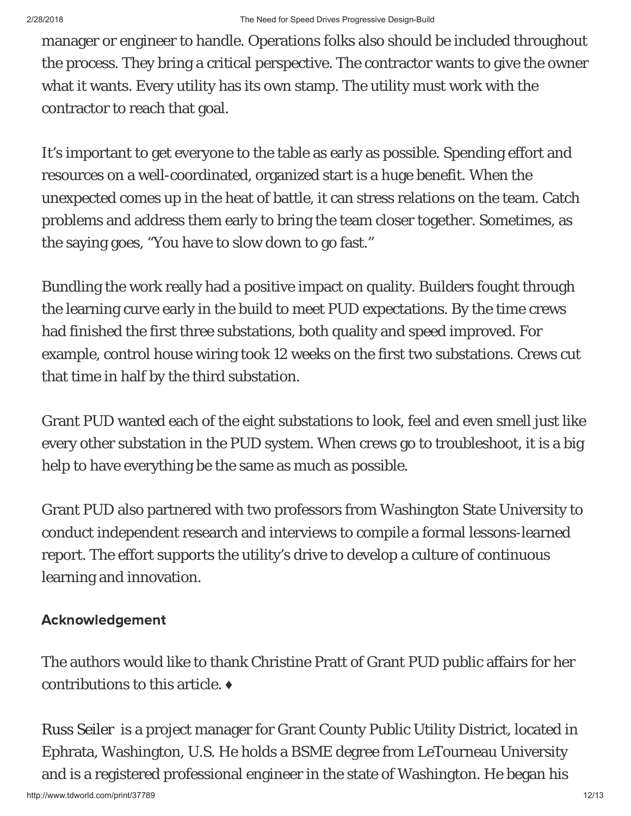manager or engineer to handle. Operations folks also should be included throughout the process. They bring a critical perspective. The contractor wants to give the owner what it wants. Every utility has its own stamp. The utility must work with the contractor to reach that goal.

It's important to get everyone to the table as early as possible. Spending effort and resources on a well-coordinated, organized start is a huge benefit. When the unexpected comes up in the heat of battle, it can stress relations on the team. Catch problems and address them early to bring the team closer together. Sometimes, as the saying goes, "You have to slow down to go fast."

Bundling the work really had a positive impact on quality. Builders fought through the learning curve early in the build to meet PUD expectations. By the time crews had finished the first three substations, both quality and speed improved. For example, control house wiring took 12 weeks on the first two substations. Crews cut that time in half by the third substation.

Grant PUD wanted each of the eight substations to look, feel and even smell just like every other substation in the PUD system. When crews go to troubleshoot, it is a big help to have everything be the same as much as possible.

Grant PUD also partnered with two professors from Washington State University to conduct independent research and interviews to compile a formal lessons-learned report. The effort supports the utility's drive to develop a culture of continuous learning and innovation.

# Acknowledgement

The authors would like to thank Christine Pratt of Grant PUD public affairs for her contributions to this article. ♦

http://www.tdworld.com/print/37789 12/13 Russ Seiler is a project manager for Grant County Public Utility District, located in Ephrata, Washington, U.S. He holds a BSME degree from LeTourneau University and is a registered professional engineer in the state of Washington. He began his